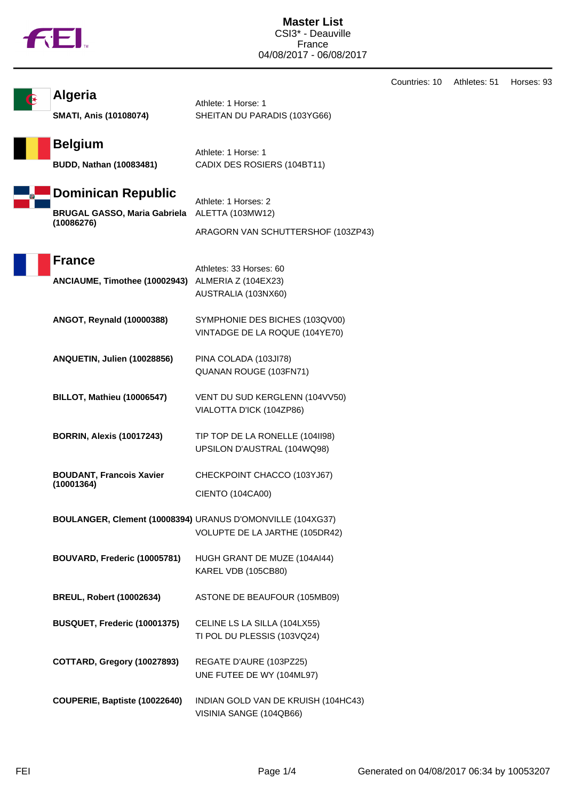Countries: 10 Athletes: 51 Horses: 93 **Algeria** Athlete: 1 Horse: 1 **SMATI, Anis (10108074)** SHEITAN DU PARADIS (103YG66) **Belgium** Athlete: 1 Horse: 1 **BUDD, Nathan (10083481)** CADIX DES ROSIERS (104BT11) **Dominican Republic** Athlete: 1 Horses: 2 **BRUGAL GASSO, Maria Gabriela (10086276)** ALETTA (103MW12) ARAGORN VAN SCHUTTERSHOF (103ZP43) **France** Athletes: 33 Horses: 60 **ANCIAUME, Timothee (10002943)** ALMERIA Z (104EX23) AUSTRALIA (103NX60) **ANGOT, Reynald (10000388)** SYMPHONIE DES BICHES (103QV00) VINTADGE DE LA ROQUE (104YE70) **ANQUETIN, Julien (10028856)** PINA COLADA (103JI78) QUANAN ROUGE (103FN71) **BILLOT, Mathieu (10006547)** VENT DU SUD KERGLENN (104VV50) VIALOTTA D'ICK (104ZP86) **BORRIN, Alexis (10017243)** TIP TOP DE LA RONELLE (104II98) UPSILON D'AUSTRAL (104WQ98) **BOUDANT, Francois Xavier (10001364)** CHECKPOINT CHACCO (103YJ67) CIENTO (104CA00) **BOULANGER, Clement (10008394)** URANUS D'OMONVILLE (104XG37) VOLUPTE DE LA JARTHE (105DR42) **BOUVARD, Frederic (10005781)** HUGH GRANT DE MUZE (104AI44) KAREL VDB (105CB80) **BREUL, Robert (10002634)** ASTONE DE BEAUFOUR (105MB09) **BUSQUET, Frederic (10001375)** CELINE LS LA SILLA (104LX55) TI POL DU PLESSIS (103VQ24) **COTTARD, Gregory (10027893)** REGATE D'AURE (103PZ25) UNE FUTEE DE WY (104ML97) **COUPERIE, Baptiste (10022640)** INDIAN GOLD VAN DE KRUISH (104HC43)

VISINIA SANGE (104QB66)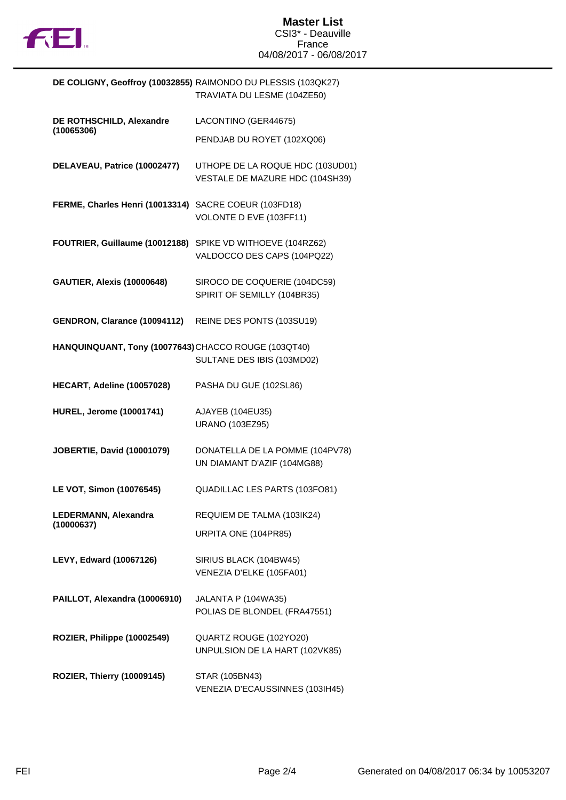

|                                                       | DE COLIGNY, Geoffroy (10032855) RAIMONDO DU PLESSIS (103QK27)<br>TRAVIATA DU LESME (104ZE50) |
|-------------------------------------------------------|----------------------------------------------------------------------------------------------|
| DE ROTHSCHILD, Alexandre<br>(10065306)                | LACONTINO (GER44675)                                                                         |
|                                                       | PENDJAB DU ROYET (102XQ06)                                                                   |
| DELAVEAU, Patrice (10002477)                          | UTHOPE DE LA ROQUE HDC (103UD01)<br>VESTALE DE MAZURE HDC (104SH39)                          |
| FERME, Charles Henri (10013314) SACRE COEUR (103FD18) | VOLONTE D EVE (103FF11)                                                                      |
|                                                       | FOUTRIER, Guillaume (10012188) SPIKE VD WITHOEVE (104RZ62)<br>VALDOCCO DES CAPS (104PQ22)    |
| <b>GAUTIER, Alexis (10000648)</b>                     | SIROCO DE COQUERIE (104DC59)<br>SPIRIT OF SEMILLY (104BR35)                                  |
| GENDRON, Clarance (10094112)                          | REINE DES PONTS (103SU19)                                                                    |
| HANQUINQUANT, Tony (10077643) CHACCO ROUGE (103QT40)  | SULTANE DES IBIS (103MD02)                                                                   |
| HECART, Adeline (10057028)                            | PASHA DU GUE (102SL86)                                                                       |
| <b>HUREL, Jerome (10001741)</b>                       | AJAYEB (104EU35)<br>URANO (103EZ95)                                                          |
| <b>JOBERTIE, David (10001079)</b>                     | DONATELLA DE LA POMME (104PV78)<br>UN DIAMANT D'AZIF (104MG88)                               |
| LE VOT, Simon (10076545)                              | QUADILLAC LES PARTS (103FO81)                                                                |
| LEDERMANN, Alexandra<br>(10000637)                    | REQUIEM DE TALMA (103IK24)                                                                   |
|                                                       | URPITA ONE (104PR85)                                                                         |
| <b>LEVY, Edward (10067126)</b>                        | SIRIUS BLACK (104BW45)<br>VENEZIA D'ELKE (105FA01)                                           |
| PAILLOT, Alexandra (10006910)                         | JALANTA P (104WA35)<br>POLIAS DE BLONDEL (FRA47551)                                          |
| ROZIER, Philippe (10002549)                           | QUARTZ ROUGE (102YO20)<br>UNPULSION DE LA HART (102VK85)                                     |
| <b>ROZIER, Thierry (10009145)</b>                     | STAR (105BN43)<br>VENEZIA D'ECAUSSINNES (103IH45)                                            |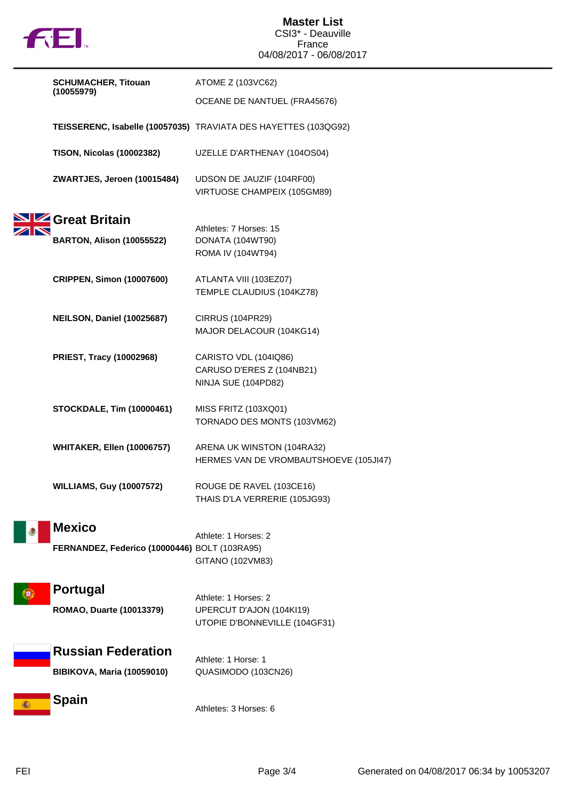

|      | <b>SCHUMACHER, Titouan</b>                                     | ATOME Z (103VC62)                                                                 |
|------|----------------------------------------------------------------|-----------------------------------------------------------------------------------|
|      | (10055979)                                                     | OCEANE DE NANTUEL (FRA45676)                                                      |
|      |                                                                | TEISSERENC, Isabelle (10057035) TRAVIATA DES HAYETTES (103QG92)                   |
|      | <b>TISON, Nicolas (10002382)</b>                               | UZELLE D'ARTHENAY (104OS04)                                                       |
|      | ZWARTJES, Jeroen (10015484)                                    | UDSON DE JAUZIF (104RF00)<br>VIRTUOSE CHAMPEIX (105GM89)                          |
|      | SIZ Great Britain                                              | Athletes: 7 Horses: 15                                                            |
|      | <b>BARTON, Alison (10055522)</b>                               | DONATA (104WT90)<br>ROMA IV (104WT94)                                             |
|      | <b>CRIPPEN, Simon (10007600)</b>                               | ATLANTA VIII (103EZ07)<br>TEMPLE CLAUDIUS (104KZ78)                               |
|      | NEILSON, Daniel (10025687)                                     | <b>CIRRUS (104PR29)</b><br>MAJOR DELACOUR (104KG14)                               |
|      | <b>PRIEST, Tracy (10002968)</b>                                | CARISTO VDL (104IQ86)<br>CARUSO D'ERES Z (104NB21)<br>NINJA SUE (104PD82)         |
|      | <b>STOCKDALE, Tim (10000461)</b>                               | MISS FRITZ (103XQ01)<br>TORNADO DES MONTS (103VM62)                               |
|      | <b>WHITAKER, Ellen (10006757)</b>                              | ARENA UK WINSTON (104RA32)<br>HERMES VAN DE VROMBAUTSHOEVE (105JI47)              |
|      | <b>WILLIAMS, Guy (10007572)</b>                                | ROUGE DE RAVEL (103CE16)<br>THAIS D'LA VERRERIE (105JG93)                         |
|      | <b>Mexico</b><br>FERNANDEZ, Federico (10000446) BOLT (103RA95) | Athlete: 1 Horses: 2<br>GITANO (102VM83)                                          |
| ¦€ } | <b>Portugal</b><br>ROMAO, Duarte (10013379)                    | Athlete: 1 Horses: 2<br>UPERCUT D'AJON (104KI19)<br>UTOPIE D'BONNEVILLE (104GF31) |
|      | <b>Russian Federation</b><br><b>BIBIKOVA, Maria (10059010)</b> | Athlete: 1 Horse: 1<br>QUASIMODO (103CN26)                                        |
|      | Spain                                                          | Athletes: 3 Horses: 6                                                             |